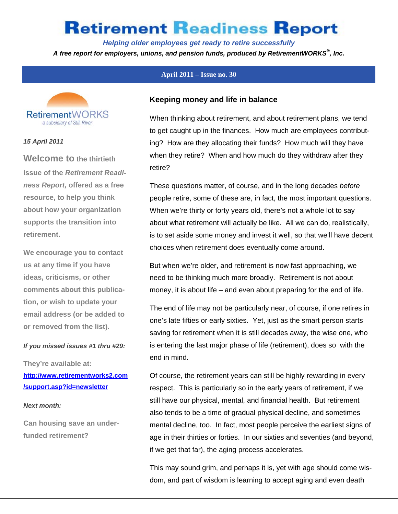*Helping older employees get ready to retire successfully* 

*A free report for employers, unions, and pension funds, produced by RetirementWORKS® , Inc.* 



## **RetirementWORKS** a subsidiary of Still River

### *15 April 2011*

**Welcome to the thirtieth issue of the** *Retirement Readiness Report,* **offered as a free resource, to help you think about how your organization supports the transition into retirement.** 

**We encourage you to contact us at any time if you have ideas, criticisms, or other comments about this publication, or wish to update your email address (or be added to or removed from the list).** 

### *If you missed issues #1 thru #29:*

**They're available at: http://www.retirementworks2.com /support.asp?id=newsletter** 

### *Next month:*

**Can housing save an underfunded retirement?** 

### **Keeping money and life in balance**

When thinking about retirement, and about retirement plans, we tend to get caught up in the finances. How much are employees contributing? How are they allocating their funds? How much will they have when they retire? When and how much do they withdraw after they retire?

These questions matter, of course, and in the long decades *before* people retire, some of these are, in fact, the most important questions. When we're thirty or forty years old, there's not a whole lot to say about what retirement will actually be like. All we can do, realistically, is to set aside some money and invest it well, so that we'll have decent choices when retirement does eventually come around.

But when we're older, and retirement is now fast approaching, we need to be thinking much more broadly. Retirement is not about money, it is about life – and even about preparing for the end of life.

The end of life may not be particularly near, of course, if one retires in one's late fifties or early sixties. Yet, just as the smart person starts saving for retirement when it is still decades away, the wise one, who is entering the last major phase of life (retirement), does so with the end in mind.

Of course, the retirement years can still be highly rewarding in every respect. This is particularly so in the early years of retirement, if we still have our physical, mental, and financial health. But retirement also tends to be a time of gradual physical decline, and sometimes mental decline, too. In fact, most people perceive the earliest signs of age in their thirties or forties. In our sixties and seventies (and beyond, if we get that far), the aging process accelerates.

This may sound grim, and perhaps it is, yet with age should come wisdom, and part of wisdom is learning to accept aging and even death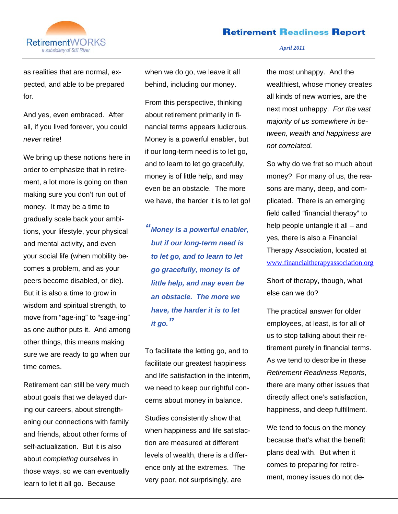

*April 2011* 

as realities that are normal, expected, and able to be prepared for.

And yes, even embraced. After all, if you lived forever, you could *never* retire!

We bring up these notions here in order to emphasize that in retirement, a lot more is going on than making sure you don't run out of money. It may be a time to gradually scale back your ambitions, your lifestyle, your physical and mental activity, and even your social life (when mobility becomes a problem, and as your peers become disabled, or die). But it is also a time to grow in wisdom and spiritual strength, to move from "age-ing" to "sage-ing" as one author puts it. And among other things, this means making sure we are ready to go when our time comes.

Retirement can still be very much about goals that we delayed during our careers, about strengthening our connections with family and friends, about other forms of self-actualization. But it is also about *completing* ourselves in those ways, so we can eventually learn to let it all go. Because

when we do go, we leave it all behind, including our money.

From this perspective, thinking about retirement primarily in financial terms appears ludicrous. Money is a powerful enabler, but if our long-term need is to let go, and to learn to let go gracefully, money is of little help, and may even be an obstacle. The more we have, the harder it is to let go!

*" Money is a powerful enabler,*  **but if our long-term need is** *to let go, and to learn to let go gracefully, money is ofI little help, and may even be* **an obstacle. The more we** *have, the harder it is to let it go. "*

To facilitate the letting go, and to facilitate our greatest happiness and life satisfaction in the interim, we need to keep our rightful concerns about money in balance.

Studies consistently show that when happiness and life satisfaction are measured at different levels of wealth, there is a difference only at the extremes. The very poor, not surprisingly, are

the most unhappy. And the wealthiest, whose money creates all kinds of new worries, are the next most unhappy. *For the vast majority of us somewhere in between, wealth and happiness are not correlated.*

So why do we fret so much about money? For many of us, the reasons are many, deep, and complicated. There is an emerging field called "financial therapy" to help people untangle it all – and yes, there is also a Financial Therapy Association, located at www.financialtherapyassociation.org

Short of therapy, though, what else can we do?

The practical answer for older employees, at least, is for all of us to stop talking about their retirement purely in financial terms. As we tend to describe in these *Retirement Readiness Reports*, there are many other issues that directly affect one's satisfaction, happiness, and deep fulfillment.

We tend to focus on the money because that's what the benefit plans deal with. But when it comes to preparing for retirement, money issues do not de-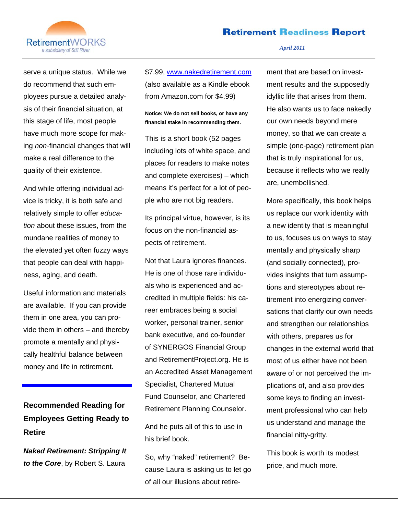

### serve a unique status. While we do recommend that such employees pursue a detailed analysis of their financial situation, at this stage of life, most people have much more scope for making *non*-financial changes that will make a real difference to the quality of their existence.

And while offering individual advice is tricky, it is both safe and relatively simple to offer *education* about these issues, from the mundane realities of money to the elevated yet often fuzzy ways that people can deal with happiness, aging, and death.

Useful information and materials are available. If you can provide them in one area, you can provide them in others – and thereby promote a mentally and physically healthful balance between money and life in retirement.

**Recommended Reading for Employees Getting Ready to Retire** 

*Naked Retirement: Stripping It to the Core*, by Robert S. Laura

\$7.99, www.nakedretirement.com (also available as a Kindle ebook from Amazon.com for \$4.99)

**Notice: We do not sell books, or have any financial stake in recommending them.** 

This is a short book (52 pages including lots of white space, and places for readers to make notes and complete exercises) – which means it's perfect for a lot of people who are not big readers.

Its principal virtue, however, is its focus on the non-financial aspects of retirement.

Not that Laura ignores finances. He is one of those rare individuals who is experienced and accredited in multiple fields: his career embraces being a social worker, personal trainer, senior bank executive, and co-founder of SYNERGOS Financial Group and RetirementProject.org. He is an Accredited Asset Management Specialist, Chartered Mutual Fund Counselor, and Chartered Retirement Planning Counselor.

And he puts all of this to use in his brief book.

So, why "naked" retirement? Because Laura is asking us to let go of all our illusions about retire-

### *April 2011*

ment that are based on investment results and the supposedly idyllic life that arises from them. He also wants us to face nakedly our own needs beyond mere money, so that we can create a simple (one-page) retirement plan that is truly inspirational for us, because it reflects who we really are, unembellished.

More specifically, this book helps us replace our work identity with a new identity that is meaningful to us, focuses us on ways to stay mentally and physically sharp (and socially connected), provides insights that turn assumptions and stereotypes about retirement into energizing conversations that clarify our own needs and strengthen our relationships with others, prepares us for changes in the external world that most of us either have not been aware of or not perceived the implications of, and also provides some keys to finding an investment professional who can help us understand and manage the financial nitty-gritty.

This book is worth its modest price, and much more.